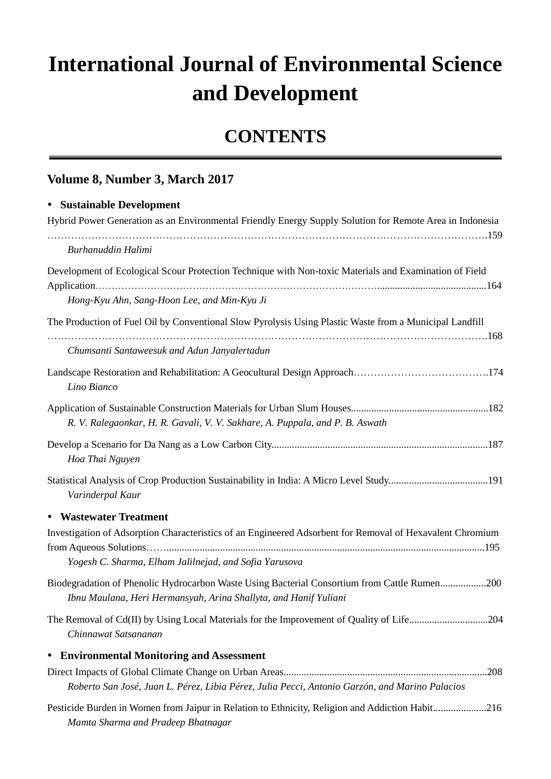## **International Journal of Environmental Science and Development**

## **CONTENTS**

## **Volume 8, Number 3, March 2017**

| • Sustainable Development                                                                                        |
|------------------------------------------------------------------------------------------------------------------|
| Hybrid Power Generation as an Environmental Friendly Energy Supply Solution for Remote Area in Indonesia         |
| Burhanuddin Halimi                                                                                               |
| Development of Ecological Scour Protection Technique with Non-toxic Materials and Examination of Field           |
| Hong-Kyu Ahn, Sang-Hoon Lee, and Min-Kyu Ji                                                                      |
| The Production of Fuel Oil by Conventional Slow Pyrolysis Using Plastic Waste from a Municipal Landfill          |
|                                                                                                                  |
| Chumsanti Santaweesuk and Adun Janyalertadun                                                                     |
| Lino Bianco                                                                                                      |
|                                                                                                                  |
| R. V. Ralegaonkar, H. R. Gavali, V. V. Sakhare, A. Puppala, and P. B. Aswath                                     |
| Hoa Thai Nguyen                                                                                                  |
| Statistical Analysis of Crop Production Sustainability in India: A Micro Level Study191<br>Varinderpal Kaur      |
| • Wastewater Treatment                                                                                           |
| Investigation of Adsorption Characteristics of an Engineered Adsorbent for Removal of Hexavalent Chromium        |
|                                                                                                                  |
| Yogesh C. Sharma, Elham Jalilnejad, and Sofia Yarusova                                                           |
| Biodegradation of Phenolic Hydrocarbon Waste Using Bacterial Consortium from Cattle Rumen200                     |
| Ibnu Maulana, Heri Hermansyah, Arina Shallyta, and Hanif Yuliani                                                 |
| The Removal of Cd(II) by Using Local Materials for the Improvement of Quality of Life204<br>Chinnawat Satsananan |
| • Environmental Monitoring and Assessment                                                                        |
|                                                                                                                  |
| Roberto San Jos é, Juan L. P érez, Libia P érez, Julia Pecci, Antonio Garz ón, and Marino Palacios               |

Pesticide Burden in Women from Jaipur in Relation to Ethnicity, Religion and Addiction Habit.....................216 *Mamta Sharma and Pradeep Bhatnagar*